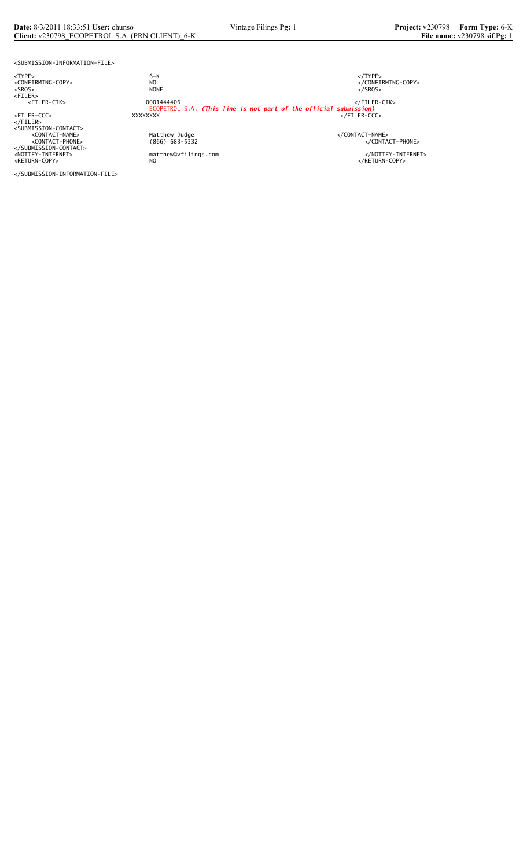#### **Date:** 8/3/2011 18:33:51 **User:** chunso Vintage Filings **Pg:** 1 **Project:** v230798 **Form Type:** 6-K **Client:** v230798\_ECOPETROL S.A. (PRN CLIENT)\_6-K **File name:** v230798.sif **Pg:** 1

<SUBMISSION-INFORMATION-FILE>

<TYPE> 6-K </TYPE>

</FILER><br><SUBMISSION-CONTACT><br><CONTACT-NAME> </CONTACT-NAME></CONTACT-NAME> </SUBMISSION-CONTACT>

<CONFIRMING-COPY> NO </CONFIRMING-COPY> <SROS> NONE </SROS> <FILER> <FILER-CIK> 0001444406 </FILER-CIK> ECOPETROL S.A. *(This line is not part of the official submission)* <FILER-CCC> XXXXXXXX </FILER-CCC>

%Matthew Judge<br>
(866) 683-5332 </CONTACT-PHONE><br>
</CONTACT-PHONE>

<NOTIFY-INTERNET> matthew@vfilings.com </NOTIFY-INTERNET><br><RETURN-COPY> NO

</SUBMISSION-INFORMATION-FILE>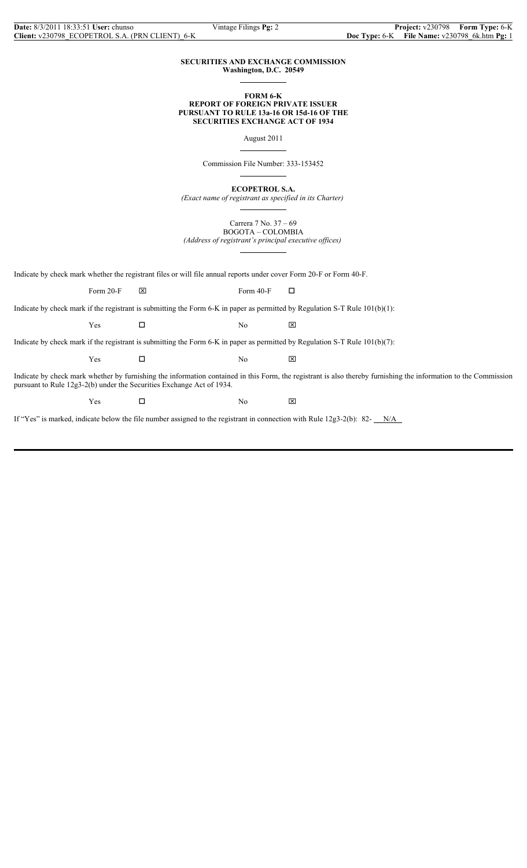## **SECURITIES AND EXCHANGE COMMISSION Washington, D.C. 20549**

 $\overline{a}$ 

 $\overline{a}$ 

 $\overline{a}$ 

 $\overline{a}$ 

## **FORM 6-K REPORT OF FOREIGN PRIVATE ISSUER PURSUANT TO RULE 13a-16 OR 15d-16 OF THE SECURITIES EXCHANGE ACT OF 1934**

August 2011

Commission File Number: 333-153452

**ECOPETROL S.A.**

*(Exact name of registrant as specified in its Charter)*

Carrera 7 No. 37 – 69 BOGOTA – COLOMBIA

*(Address of registrant's principal executive offices)*  $\overline{a}$ 

Indicate by check mark whether the registrant files or will file annual reports under cover Form 20-F or Form 40-F.

Form 20-F  $\boxtimes$  Form 40-F  $\Box$ 

Indicate by check mark if the registrant is submitting the Form 6-K in paper as permitted by Regulation S-T Rule 101(b)(1):

 $Yes$   $\Box$  No  $\boxtimes$ 

Indicate by check mark if the registrant is submitting the Form 6-K in paper as permitted by Regulation S-T Rule 101(b)(7):

 $Yes$   $\Box$  No  $\boxtimes$ 

Indicate by check mark whether by furnishing the information contained in this Form, the registrant is also thereby furnishing the information to the Commission pursuant to Rule 12g3-2(b) under the Securities Exchange Act of 1934.

 $Yes$   $\square$  No  $\boxtimes$ 

If "Yes" is marked, indicate below the file number assigned to the registrant in connection with Rule  $12g3-2(b)$ : 82- $N/A$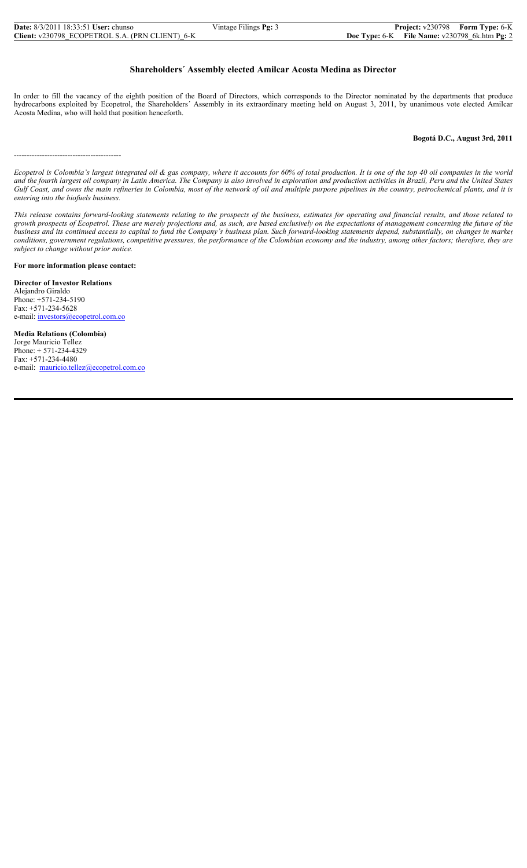| <b>Date:</b> 8/3/2011 18:33:51 <b>User:</b> chunso | Vintage Filings Pg: 3 |                                                   | <b>Project:</b> v230798 Form Type: 6-K |
|----------------------------------------------------|-----------------------|---------------------------------------------------|----------------------------------------|
| Client: v230798 ECOPETROL S.A. (PRN CLIENT) 6-K    |                       | Doc Type: $6-K$ File Name: $v230798$ 6k.htm Pg: 2 |                                        |

# **Shareholders´ Assembly elected Amilcar Acosta Medina as Director**

In order to fill the vacancy of the eighth position of the Board of Directors, which corresponds to the Director nominated by the departments that produce hydrocarbons exploited by Ecopetrol, the Shareholders´ Assembly in its extraordinary meeting held on August 3, 2011, by unanimous vote elected Amilcar Acosta Medina, who will hold that position henceforth.

### **Bogotá D.C., August 3rd, 2011**

------------------------------------------

*Ecopetrol is Colombia's largest integrated oil & gas company, where it accounts for 60% of total production. It is one of the top 40 oil companies in the world and the fourth largest oil company in Latin America. The Company is also involved in exploration and production activities in Brazil, Peru and the United States Gulf Coast, and owns the main refineries in Colombia, most of the network of oil and multiple purpose pipelines in the country, petrochemical plants, and it is entering into the biofuels business.*

*This release contains forward-looking statements relating to the prospects of the business, estimates for operating and financial results, and those related to growth prospects of Ecopetrol. These are merely projections and, as such, are based exclusively on the expectations of management concerning the future of the business and its continued access to capital to fund the Company's business plan. Such forward-looking statements depend, substantially, on changes in market conditions, government regulations, competitive pressures, the performance of the Colombian economy and the industry, among other factors; therefore, they are subject to change without prior notice.*

## **For more information please contact:**

**Director of Investor Relations** Alejandro Giraldo Phone: +571-234-5190 Fax: +571-234-5628 e-mail: investors@ecopetrol.com.co

**Media Relations (Colombia)** Jorge Mauricio Tellez Phone: + 571-234-4329 Fax: +571-234-4480 e-mail: mauricio.tellez@ecopetrol.com.co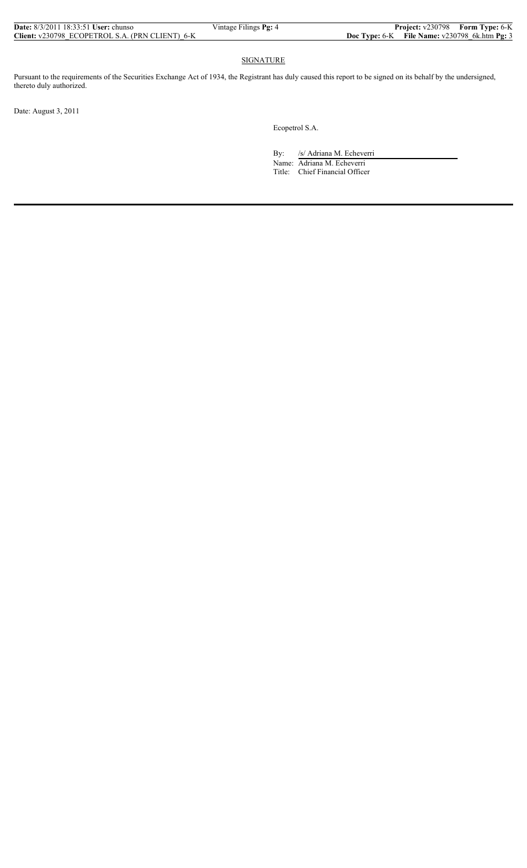**SIGNATURE** 

Pursuant to the requirements of the Securities Exchange Act of 1934, the Registrant has duly caused this report to be signed on its behalf by the undersigned, thereto duly authorized.

Date: August 3, 2011

Ecopetrol S.A.

By: /s/ Adriana M. Echeverri

 Name: Adriana M. Echeverri Title: Chief Financial Officer